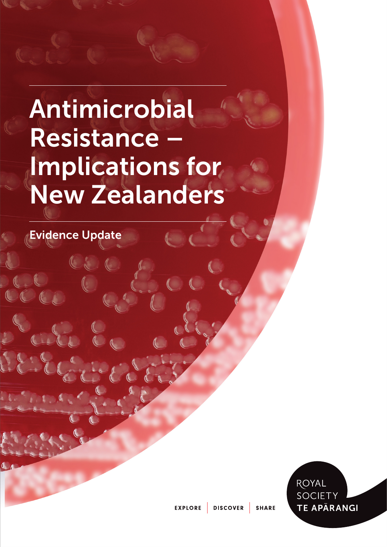# Antimicrobial Resistance Implications for New Zealanders

Evidence Update

Ci



EXPLORE DISCOVER SHARE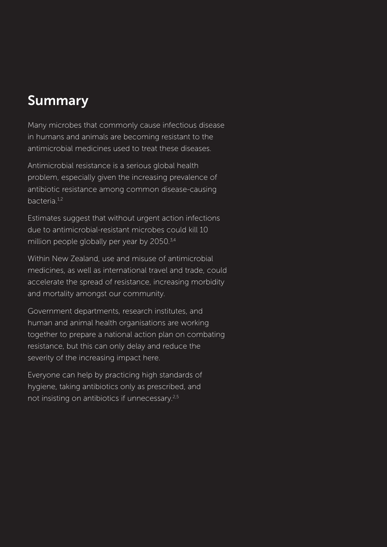# Summary

Many microbes that commonly cause infectious disease in humans and animals are becoming resistant to the antimicrobial medicines used to treat these diseases.

Antimicrobial resistance is a serious global health problem, especially given the increasing prevalence of antibiotic resistance among common disease-causing bacteria<sup>1,2</sup>

Estimates suggest that without urgent action infections due to antimicrobial-resistant microbes could kill 10 million people globally per year by 2050.<sup>3,4</sup>

Within New Zealand, use and misuse of antimicrobial medicines, as well as international travel and trade, could accelerate the spread of resistance, increasing morbidity and mortality amongst our community.

Government departments, research institutes, and human and animal health organisations are working together to prepare a national action plan on combating resistance, but this can only delay and reduce the severity of the increasing impact here.

Everyone can help by practicing high standards of hygiene, taking antibiotics only as prescribed, and not insisting on antibiotics if unnecessary.2,5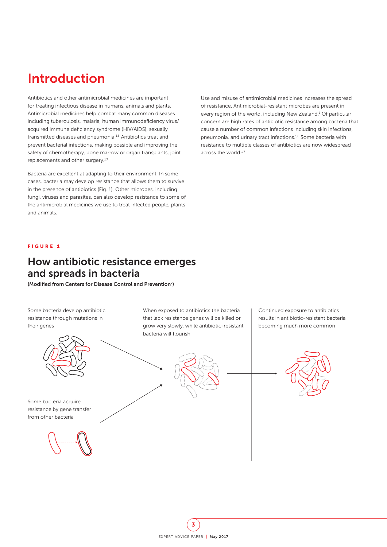# <span id="page-2-0"></span>Introduction

Antibiotics and other antimicrobial medicines are important for treating infectious disease in humans, animals and plants. Antimicrobial medicines help combat many common diseases including tuberculosis, malaria, human immunodeficiency virus/ acquired immune deficiency syndrome (HIV/AIDS), sexually transmitted diseases and pneumonia.<sup>1,6</sup> Antibiotics treat and prevent bacterial infections, making possible and improving the safety of chemotherapy, bone marrow or organ transplants, joint replacements and other surgery.<sup>1,7</sup>

Bacteria are excellent at adapting to their environment. In some cases, bacteria may develop resistance that allows them to survive in the presence of antibiotics (Fig. 1). Other microbes, including fungi, viruses and parasites, can also develop resistance to some of the antimicrobial medicines we use to treat infected people, plants and animals.

Use and misuse of antimicrobial medicines increases the spread of resistance. Antimicrobial-resistant microbes are present in every region of the world, including New Zealand.<sup>1</sup> Of particular concern are high rates of antibiotic resistance among bacteria that cause a number of common infections including skin infections, pneumonia, and urinary tract infections.1,6 Some bacteria with resistance to multiple classes of antibiotics are now widespread across the world.<sup>1,7</sup>

#### FIGURE 1

### How antibiotic resistance emerges and spreads in bacteria

(Modified from Centers for Disease Control and Prevention<sup>7</sup>)

Some bacteria develop antibiotic resistance through mutations in their genes When exposed to antibiotics the bacteria that lack resistance genes will be killed or grow very slowly, while antibiotic-resistant bacteria will flourish Continued exposure to antibiotics results in antibiotic-resistant bacteria becoming much more common Some bacteria acquire resistance by gene transfer from other bacteria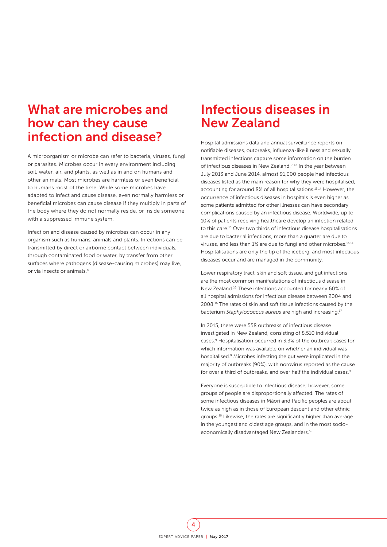# What are microbes and how can they cause infection and disease?

A microorganism or microbe can refer to bacteria, viruses, fungi or parasites. Microbes occur in every environment including soil, water, air, and plants, as well as in and on humans and other animals. Most microbes are harmless or even beneficial to humans most of the time. While some microbes have adapted to infect and cause disease, even normally harmless or beneficial microbes can cause disease if they multiply in parts of the body where they do not normally reside, or inside someone with a suppressed immune system.

Infection and disease caused by microbes can occur in any organism such as humans, animals and plants. Infections can be transmitted by direct or airborne contact between individuals, through contaminated food or water, by transfer from other surfaces where pathogens (disease-causing microbes) may live, or via insects or animals.8

# Infectious diseases in New Zealand

Hospital admissions data and annual surveillance reports on notifiable diseases, outbreaks, influenza-like illness and sexually transmitted infections capture some information on the burden of infectious diseases in New Zealand.<sup>9-12</sup> In the year between July 2013 and June 2014, almost 91,000 people had infectious diseases listed as the main reason for why they were hospitalised, accounting for around 8% of all hospitalisations.13,14 However, the occurrence of infectious diseases in hospitals is even higher as some patients admitted for other illnesses can have secondary complications caused by an infectious disease. Worldwide, up to 10% of patients receiving healthcare develop an infection related to this care.15 Over two thirds of infectious disease hospitalisations are due to bacterial infections, more than a quarter are due to viruses, and less than 1% are due to fungi and other microbes.<sup>13,14</sup> Hospitalisations are only the tip of the iceberg, and most infectious diseases occur and are managed in the community.

Lower respiratory tract, skin and soft tissue, and gut infections are the most common manifestations of infectious disease in New Zealand.16 These infections accounted for nearly 60% of all hospital admissions for infectious disease between 2004 and 2008.16 The rates of skin and soft tissue infections caused by the bacterium *Staphylococcus aureus* are high and increasing.17

In 2015, there were 558 outbreaks of infectious disease investigated in New Zealand, consisting of 8,510 individual cases.9 Hospitalisation occurred in 3.3% of the outbreak cases for which information was available on whether an individual was hospitalised.9 Microbes infecting the gut were implicated in the majority of outbreaks (90%), with norovirus reported as the cause for over a third of outbreaks, and over half the individual cases.<sup>9</sup>

Everyone is susceptible to infectious disease; however, some groups of people are disproportionally affected. The rates of some infectious diseases in Māori and Pacific peoples are about twice as high as in those of European descent and other ethnic groups.16 Likewise, the rates are significantly higher than average in the youngest and oldest age groups, and in the most socioeconomically disadvantaged New Zealanders.<sup>16</sup>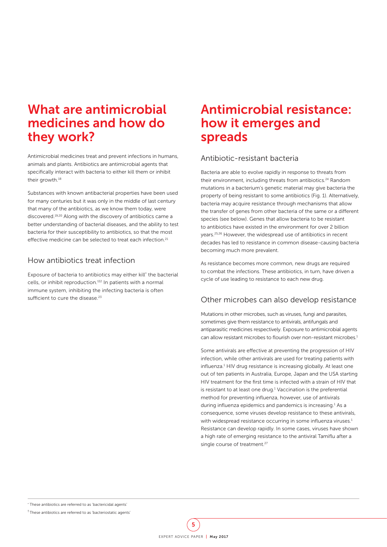# What are antimicrobial medicines and how do they work?

Antimicrobial medicines treat and prevent infections in humans, animals and plants. Antibiotics are antimicrobial agents that specifically interact with bacteria to either kill them or inhibit their growth.<sup>18</sup>

Substances with known antibacterial properties have been used for many centuries but it was only in the middle of last century that many of the antibiotics, as we know them today, were discovered.19,20 Along with the discovery of antibiotics came a better understanding of bacterial diseases, and the ability to test bacteria for their susceptibility to antibiotics, so that the most effective medicine can be selected to treat each infection.<sup>21</sup>

### How antibiotics treat infection

Exposure of bacteria to antibiotics may either kill\* the bacterial cells, or inhibit reproduction.†22 In patients with a normal immune system, inhibiting the infecting bacteria is often sufficient to cure the disease.<sup>23</sup>

# Antimicrobial resistance: how it emerges and spreads

### Antibiotic-resistant bacteria

Bacteria are able to evolve rapidly in response to threats from their environment, including threats from antibiotics.<sup>24</sup> Random mutations in a bacterium's genetic material may give bacteria the property of being resistant to some antibiotics [\(Fig. 1\)](#page-2-0). Alternatively, bacteria may acquire resistance through mechanisms that allow the transfer of genes from other bacteria of the same or a different species (see below). Genes that allow bacteria to be resistant to antibiotics have existed in the environment for over 2 billion years.25,26 However, the widespread use of antibiotics in recent decades has led to resistance in common disease-causing bacteria becoming much more prevalent.

As resistance becomes more common, new drugs are required to combat the infections. These antibiotics, in turn, have driven a cycle of use leading to resistance to each new drug.

### Other microbes can also develop resistance

Mutations in other microbes, such as viruses, fungi and parasites, sometimes give them resistance to antivirals, antifungals and antiparasitic medicines respectively. Exposure to antimicrobial agents can allow resistant microbes to flourish over non-resistant microbes.<sup>1</sup>

Some antivirals are effective at preventing the progression of HIV infection, while other antivirals are used for treating patients with influenza.<sup>1</sup> HIV drug resistance is increasing globally. At least one out of ten patients in Australia, Europe, Japan and the USA starting HIV treatment for the first time is infected with a strain of HIV that is resistant to at least one drug. $1$  Vaccination is the preferential method for preventing influenza, however, use of antivirals during influenza epidemics and pandemics is increasing.<sup>1</sup> As a consequence, some viruses develop resistance to these antivirals, with widespread resistance occurring in some influenza viruses.<sup>1</sup> Resistance can develop rapidly. In some cases, viruses have shown a high rate of emerging resistance to the antiviral Tamiflu after a single course of treatment.<sup>27</sup>

<sup>\*</sup> These antibiotics are referred to as 'bactericidal agents'

<sup>†</sup> These antibiotics are referred to as 'bacteriostatic agents'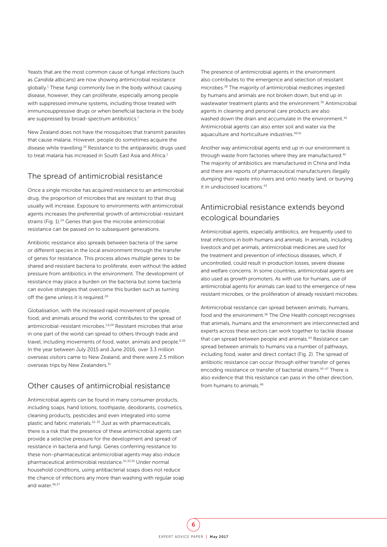Yeasts that are the most common cause of fungal infections (such as *Candida albicans*) are now showing antimicrobial resistance globally.1 These fungi commonly live in the body without causing disease, however, they can proliferate, especially among people with suppressed immune systems, including those treated with immunosuppressive drugs or when beneficial bacteria in the body are suppressed by broad-spectrum antibiotics.<sup>7</sup>

New Zealand does not have the mosquitoes that transmit parasites that cause malaria. However, people do sometimes acquire the disease while travelling.10 Resistance to the antiparasitic drugs used to treat malaria has increased in South East Asia and Africa.1

#### The spread of antimicrobial resistance

Once a single microbe has acquired resistance to an antimicrobial drug, the proportion of microbes that are resistant to that drug usually will increase. Exposure to environments with antimicrobial agents increases the preferential growth of antimicrobial-resistant strains [\(Fig. 1\)](#page-2-0).<sup>24</sup> Genes that give the microbe antimicrobial resistance can be passed on to subsequent generations.

Antibiotic resistance also spreads between bacteria of the same or different species in the local environment through the transfer of genes for resistance. This process allows multiple genes to be shared and resistant bacteria to proliferate, even without the added pressure from antibiotics in the environment. The development of resistance may place a burden on the bacteria but some bacteria can evolve strategies that overcome this burden such as turning off the gene unless it is required.<sup>28</sup>

Globalisation, with the increased rapid movement of people, food, and animals around the world, contributes to the spread of antimicrobial-resistant microbes.<sup>1,6,29</sup> Resistant microbes that arise in one part of the world can spread to others through trade and travel, including movements of food, water, animals and people.<sup>6,30</sup> In the year between July 2015 and June 2016, over 3.3 million overseas visitors came to New Zealand, and there were 2.5 million overseas trips by New Zealanders.<sup>31</sup>

### Other causes of antimicrobial resistance

Antimicrobial agents can be found in many consumer products, including soaps, hand lotions, toothpaste, deodorants, cosmetics, cleaning products, pesticides and even integrated into some plastic and fabric materials.32-35 Just as with pharmaceuticals, there is a risk that the presence of these antimicrobial agents can provide a selective pressure for the development and spread of resistance in bacteria and fungi. Genes conferring resistance to these non-pharmaceutical antimicrobial agents may also induce pharmaceutical antimicrobial resistance.32,33,35 Under normal household conditions, using antibacterial soaps does not reduce the chance of infections any more than washing with regular soap and water.36,37

The presence of antimicrobial agents in the environment also contributes to the emergence and selection of resistant microbes.38 The majority of antimicrobial medicines ingested by humans and animals are not broken down, but end up in wastewater treatment plants and the environment.<sup>39</sup> Antimicrobial agents in cleaning and personal care products are also washed down the drain and accumulate in the environment.<sup>34</sup> Antimicrobial agents can also enter soil and water via the aquaculture and horticulture industries.<sup>40,41</sup>

Another way antimicrobial agents end up in our environment is through waste from factories where they are manufactured.<sup>42</sup> The majority of antibiotics are manufactured in China and India and there are reports of pharmaceutical manufacturers illegally dumping their waste into rivers and onto nearby land, or burying it in undisclosed locations.43

### Antimicrobial resistance extends beyond ecological boundaries

Antimicrobial agents, especially antibiotics, are frequently used to treat infections in both humans and animals. In animals, including livestock and pet animals, antimicrobial medicines are used for the treatment and prevention of infectious diseases, which, if uncontrolled, could result in production losses, severe disease and welfare concerns. In some countries, antimicrobial agents are also used as growth promoters. As with use for humans, use of antimicrobial agents for animals can lead to the emergence of new resistant microbes, or the proliferation of already resistant microbes.

Antimicrobial resistance can spread between animals, humans, food and the environment.<sup>38</sup> The One Health concept recognises that animals, humans and the environment are interconnected and experts across these sectors can work together to tackle disease that can spread between people and animals.<sup>44</sup> Resistance can spread between animals to humans via a number of pathways, including food, water and direct contact [\(Fig. 2\).](#page-6-0) The spread of antibiotic resistance can occur through either transfer of genes encoding resistance or transfer of bacterial strains.45-47 There is also evidence that this resistance can pass in the other direction, from humans to animals<sup>48</sup>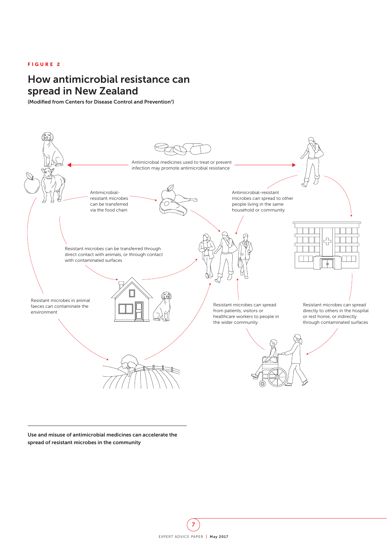#### <span id="page-6-0"></span>FIGURE 2

# How antimicrobial resistance can spread in New Zealand

(Modified from Centers for Disease Control and Prevention<sup>7</sup>)



Use and misuse of antimicrobial medicines can accelerate the spread of resistant microbes in the community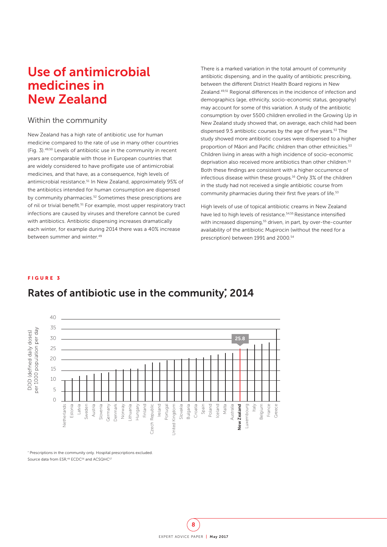# Use of antimicrobial medicines in New Zealand

#### Within the community

New Zealand has a high rate of antibiotic use for human medicine compared to the rate of use in many other countries (Fig. 3).49,50 Levels of antibiotic use in the community in recent years are comparable with those in European countries that are widely considered to have profligate use of antimicrobial medicines, and that have, as a consequence, high levels of antimicrobial resistance.<sup>51</sup> In New Zealand, approximately 95% of the antibiotics intended for human consumption are dispensed by community pharmacies.<sup>52</sup> Sometimes these prescriptions are of nil or trivial benefit.<sup>51</sup> For example, most upper respiratory tract infections are caused by viruses and therefore cannot be cured with antibiotics. Antibiotic dispensing increases dramatically each winter, for example during 2014 there was a 40% increase between summer and winter.<sup>49</sup>

There is a marked variation in the total amount of community antibiotic dispensing, and in the quality of antibiotic prescribing, between the different District Health Board regions in New Zealand.<sup>49,51</sup> Regional differences in the incidence of infection and demographics (age, ethnicity, socio-economic status, geography) may account for some of this variation. A study of the antibiotic consumption by over 5500 children enrolled in the Growing Up in New Zealand study showed that, on average, each child had been dispensed 9.5 antibiotic courses by the age of five years.<sup>53</sup> The study showed more antibiotic courses were dispensed to a higher proportion of Māori and Pacific children than other ethnicities.<sup>53</sup> Children living in areas with a high incidence of socio-economic deprivation also received more antibiotics than other children.<sup>53</sup> Both these findings are consistent with a higher occurrence of infectious disease within these groups.<sup>16</sup> Only 3% of the children in the study had not received a single antibiotic course from community pharmacies during their first five years of life.<sup>53</sup>

High levels of use of topical antibiotic creams in New Zealand have led to high levels of resistance.<sup>54,55</sup> Resistance intensified with increased dispensing,<sup>55</sup> driven, in part, by over-the-counter availability of the antibiotic Mupirocin (without the need for a prescription) between 1991 and 2000.<sup>54</sup>

#### FIGURE 3



### Rates of antibiotic use in the community; 2014

\* Prescriptions in the community only. Hospital prescriptions excluded.

Source data from ESR,<sup>49</sup> ECDC<sup>56</sup> and ACSQHC<sup>57</sup>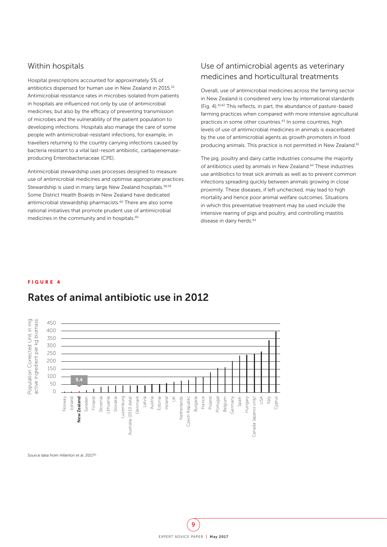#### Within hospitals

Hospital prescriptions accounted for approximately 5% of antibiotics dispensed for human use in New Zealand in 2015.52 Antimicrobial resistance rates in microbes isolated from patients in hospitals are influenced not only by use of antimicrobial medicines, but also by the efficacy of preventing transmission of microbes and the vulnerability of the patient population to developing infections. Hospitals also manage the care of some people with antimicrobial-resistant infections, for example, in travellers returning to the country carrying infections caused by bacteria resistant to a vital last-resort antibiotic, carbapenemaseproducing Enterobacteriaceae (CPE).

Antimicrobial stewardship uses processes designed to measure use of antimicrobial medicines and optimise appropriate practices. Stewardship is used in many large New Zealand hospitals.<sup>58,59</sup> Some District Health Boards in New Zealand have dedicated antimicrobial stewardship pharmacists.<sup>60</sup> There are also some national initiatives that promote prudent use of antimicrobial medicines in the community and in hospitals.<sup>60</sup>

### Use of antimicrobial agents as veterinary medicines and horticultural treatments

Overall, use of antimicrobial medicines across the farming sector in New Zealand is considered very low by international standards (Fig. 4).61,62 This reflects, in part, the abundance of pasture-based farming practices when compared with more intensive agricultural practices in some other countries.<sup>63</sup> In some countries, high levels of use of antimicrobial medicines in animals is exacerbated by the use of antimicrobial agents as growth promoters in food producing animals. This practice is not permitted in New Zealand.<sup>61</sup>

The pig, poultry and dairy cattle industries consume the majority of antibiotics used by animals in New Zealand.<sup>64</sup> These industries use antibiotics to treat sick animals as well as to prevent common infections spreading quickly between animals growing in close proximity. These diseases, if left unchecked, may lead to high mortality and hence poor animal welfare outcomes. Situations in which this preventative treatment may be used include the intensive rearing of pigs and poultry, and controlling mastitis disease in dairy herds.<sup>64</sup>

#### FIGURE 4



# Rates of animal antibiotic use in 2012

Source data from Hillerton et al. 201761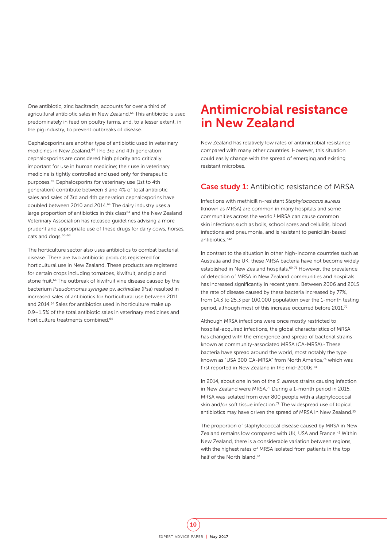One antibiotic, zinc bacitracin, accounts for over a third of agricultural antibiotic sales in New Zealand.64 This antibiotic is used predominately in feed on poultry farms, and, to a lesser extent, in the pig industry, to prevent outbreaks of disease.

Cephalosporins are another type of antibiotic used in veterinary medicines in New Zealand.<sup>64</sup> The 3rd and 4th generation cephalosporins are considered high priority and critically important for use in human medicine; their use in veterinary medicine is tightly controlled and used only for therapeutic purposes.65 Cephalosporins for veterinary use (1st to 4th generation) contribute between 3 and 4% of total antibiotic sales and sales of 3rd and 4th generation cephalosporins have doubled between 2010 and 2014.<sup>64</sup> The dairy industry uses a large proportion of antibiotics in this class<sup>64</sup> and the New Zealand Veterinary Association has released guidelines advising a more prudent and appropriate use of these drugs for dairy cows, horses, cats and dogs.<sup>66-68</sup>

The horticulture sector also uses antibiotics to combat bacterial disease. There are two antibiotic products registered for horticultural use in New Zealand. These products are registered for certain crops including tomatoes, kiwifruit, and pip and stone fruit.<sup>64</sup> The outbreak of kiwifruit vine disease caused by the bacterium *Pseudomonas syringae* pv. *actinidiae* (Psa) resulted in increased sales of antibiotics for horticultural use between 2011 and 2014.64 Sales for antibiotics used in horticulture make up 0.9–1.5% of the total antibiotic sales in veterinary medicines and horticulture treatments combined.<sup>64</sup>

# Antimicrobial resistance in New Zealand

New Zealand has relatively low rates of antimicrobial resistance compared with many other countries. However, this situation could easily change with the spread of emerging and existing resistant microbes.

#### Case study 1: Antibiotic resistance of MRSA

Infections with methicillin-resistant *Staphylococcus aureus* (known as MRSA) are common in many hospitals and some communities across the world.<sup>1</sup> MRSA can cause common skin infections such as boils, school sores and cellulitis, blood infections and pneumonia, and is resistant to penicillin-based antibiotics.7,42

In contrast to the situation in other high-income countries such as Australia and the UK, these MRSA bacteria have not become widely established in New Zealand hospitals.<sup>69-71</sup> However, the prevalence of detection of MRSA in New Zealand communities and hospitals has increased significantly in recent years. Between 2006 and 2015 the rate of disease caused by these bacteria increased by 77%, from 14.3 to 25.3 per 100,000 population over the 1-month testing period, although most of this increase occurred before 2011.<sup>72</sup>

Although MRSA infections were once mostly restricted to hospital-acquired infections, the global characteristics of MRSA has changed with the emergence and spread of bacterial strains known as community-associated MRSA (CA-MRSA).<sup>1</sup> These bacteria have spread around the world, most notably the type known as "USA 300 CA-MRSA" from North America.<sup>73</sup> which was first reported in New Zealand in the mid-2000s.74

In 2014, about one in ten of the *S. aureus* strains causing infection in New Zealand were MRSA.<sup>75</sup> During a 1-month period in 2015 MRSA was isolated from over 800 people with a staphylococcal skin and/or soft tissue infection.<sup>72</sup> The widespread use of topical antibiotics may have driven the spread of MRSA in New Zealand.<sup>55</sup>

The proportion of staphylococcal disease caused by MRSA in New Zealand remains low compared with UK, USA and France.<sup>42</sup> Within New Zealand, there is a considerable variation between regions, with the highest rates of MRSA isolated from patients in the top half of the North Island<sup>72</sup>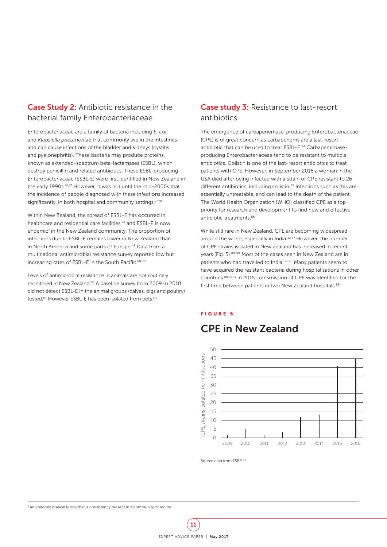### Case Study 2: Antibiotic resistance in the bacterial family Enterobacteriaceae

Enterobacteriaceae are a family of bacteria including *E. coli* and *Klebsiella pneumoniae* that commonly live in the intestines and can cause infections of the bladder and kidneys (cystitis and pyelonephritis). These bacteria may produce proteins, known as extended-spectrum beta-lactamases (ESBL), which destroy penicillin and related antibiotics. These ESBL-producing Enterobacteriaceae (ESBL-E) were first identified in New Zealand in the early 1990s.<sup>76,77</sup> However, it was not until the mid-2000s that the incidence of people diagnosed with these infections increased significantly, in both hospital and community settings.<sup>77,78</sup>

Within New Zealand, the spread of ESBL-E has occurred in healthcare and residential care facilities.<sup>79</sup> and ESBL-E is now endemic<sup>‡</sup> in the New Zealand community. The proportion of infections due to ESBL-E remains lower in New Zealand than in North America and some parts of Europe.42 Data from a multinational antimicrobial resistance survey reported low but increasing rates of ESBL-E in the South Pacific. 80-82

Levels of antimicrobial resistance in animals are not routinely monitored in New Zealand.60 A baseline survey from 2009 to 2010 did not detect ESBL-E in the animal groups (calves, pigs and poultry) tested.<sup>83</sup> However ESBL-E has been isolated from pets.<sup>63</sup>

### Case study 3: Resistance to last-resort antibiotics

The emergence of carbapenemase-producing Enterobacteriaceae (CPE) is of great concern as carbapenems are a last-resort antibiotic that can be used to treat ESBL-E.<sup>84</sup> Carbapenemaseproducing Enterobacteriaceae tend to be resistant to multiple antibiotics. Colistin is one of the last-resort antibiotics to treat patients with CPE. However, in September 2016 a woman in the USA died after being infected with a strain of CPE resistant to 26 different antibiotics, including colistin.<sup>85</sup> Infections such as this are essentially untreatable, and can lead to the death of the patient. The World Health Organization (WHO) classified CPE as a top priority for research and development to find new and effective antibiotic treatments.86

While still rare in New Zealand, CPE are becoming widespread around the world, especially in India.<sup>42,87</sup> However, the number of CPE strains isolated in New Zealand has increased in recent years (Fig. 5).88-90 Most of the cases seen in New Zealand are in patients who had travelled to India.<sup>88-90</sup> Many patients seem to have acquired the resistant bacteria during hospitalisations in other countries.88,89,91 In 2015, transmission of CPE was identified for the first time between patients in two New Zealand hospitals.<sup>89</sup>

#### FIGURE 5



### CPE in New Zealand

Source data from ESR88-90

‡ An endemic disease is one that is consistently present in a community or region.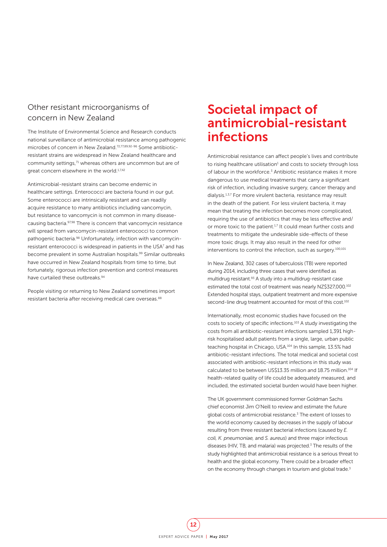### Other resistant microorganisms of concern in New Zealand

The Institute of Environmental Science and Research conducts national surveillance of antimicrobial resistance among pathogenic microbes of concern in New Zealand.72,77,89,92-96 Some antibioticresistant strains are widespread in New Zealand healthcare and community settings,<sup>71</sup> whereas others are uncommon but are of great concern elsewhere in the world.<sup>1,7,42</sup>

Antimicrobial-resistant strains can become endemic in healthcare settings. Enterococci are bacteria found in our gut. Some enterococci are intrinsically resistant and can readily acquire resistance to many antibiotics including vancomycin, but resistance to vancomycin is not common in many diseasecausing bacteria.97,98 There is concern that vancomycin resistance will spread from vancomycin-resistant enterococci to common pathogenic bacteria.98 Unfortunately, infection with vancomycinresistant enterococci is widespread in patients in the USA<sup>7</sup> and has become prevalent in some Australian hospitals.<sup>99</sup> Similar outbreaks have occurred in New Zealand hospitals from time to time, but fortunately, rigorous infection prevention and control measures have curtailed these outbreaks.<sup>94</sup>

People visiting or returning to New Zealand sometimes import resistant bacteria after receiving medical care overseas.<sup>88</sup>

# Societal impact of antimicrobial-resistant infections

Antimicrobial resistance can affect people's lives and contribute to rising healthcare utilisation<sup>1</sup> and costs to society through loss of labour in the workforce.<sup>3</sup> Antibiotic resistance makes it more dangerous to use medical treatments that carry a significant risk of infection, including invasive surgery, cancer therapy and dialysis.1,3,7 For more virulent bacteria, resistance may result in the death of the patient. For less virulent bacteria, it may mean that treating the infection becomes more complicated, requiring the use of antibiotics that may be less effective and/ or more toxic to the patient.<sup>1,7</sup> It could mean further costs and treatments to mitigate the undesirable side-effects of these more toxic drugs. It may also result in the need for other interventions to control the infection, such as surgery.100,101

In New Zealand, 302 cases of tuberculosis (TB) were reported during 2014, including three cases that were identified as multidrug resistant.93 A study into a multidrug-resistant case estimated the total cost of treatment was nearly NZ\$327,000.102 Extended hospital stays, outpatient treatment and more expensive second-line drug treatment accounted for most of this cost.<sup>102</sup>

Internationally, most economic studies have focused on the costs to society of specific infections.103 A study investigating the costs from all antibiotic-resistant infections sampled 1,391 highrisk hospitalised adult patients from a single, large, urban public teaching hospital in Chicago, USA.104 In this sample, 13.5% had antibiotic-resistant infections. The total medical and societal cost associated with antibiotic-resistant infections in this study was calculated to be between US\$13.35 million and 18.75 million.<sup>104</sup> If health-related quality of life could be adequately measured, and included, the estimated societal burden would have been higher.

The UK government commissioned former Goldman Sachs chief economist Jim O'Neill to review and estimate the future global costs of antimicrobial resistance.<sup>3</sup> The extent of losses to the world economy caused by decreases in the supply of labour resulting from three resistant bacterial infections (caused by *E. coli, K. pneumoniae,* and *S. aureus*) and three major infectious diseases (HIV, TB, and malaria) was projected. $3$  The results of the study highlighted that antimicrobial resistance is a serious threat to health and the global economy. There could be a broader effect on the economy through changes in tourism and global trade.<sup>3</sup>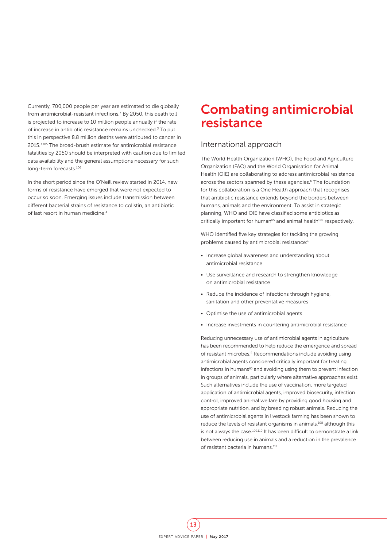Currently, 700,000 people per year are estimated to die globally from antimicrobial-resistant infections.<sup>3</sup> By 2050, this death toll is projected to increase to 10 million people annually if the rate of increase in antibiotic resistance remains unchecked.<sup>3</sup> To put this in perspective 8.8 million deaths were attributed to cancer in 2015.3,105 The broad-brush estimate for antimicrobial resistance fatalities by 2050 should be interpreted with caution due to limited data availability and the general assumptions necessary for such long-term forecasts.106

In the short period since the O'Neill review started in 2014, new forms of resistance have emerged that were not expected to occur so soon. Emerging issues include transmission between different bacterial strains of resistance to colistin, an antibiotic of last resort in human medicine.<sup>4</sup>

# Combating antimicrobial resistance

#### International approach

The World Health Organization (WHO), the Food and Agriculture Organization (FAO) and the World Organisation for Animal Health (OIE) are collaborating to address antimicrobial resistance across the sectors spanned by these agencies.<sup>6</sup> The foundation for this collaboration is a One Health approach that recognises that antibiotic resistance extends beyond the borders between humans, animals and the environment. To assist in strategic planning, WHO and OIE have classified some antibiotics as critically important for human<sup>65</sup> and animal health<sup>107</sup> respectively.

WHO identified five key strategies for tackling the growing problems caused by antimicrobial resistance:6

- Increase global awareness and understanding about antimicrobial resistance
- Use surveillance and research to strengthen knowledge on antimicrobial resistance
- Reduce the incidence of infections through hygiene, sanitation and other preventative measures
- Optimise the use of antimicrobial agents
- Increase investments in countering antimicrobial resistance

Reducing unnecessary use of antimicrobial agents in agriculture has been recommended to help reduce the emergence and spread of resistant microbes.4 Recommendations include avoiding using antimicrobial agents considered critically important for treating infections in humans<sup>65</sup> and avoiding using them to prevent infection in groups of animals, particularly where alternative approaches exist. Such alternatives include the use of vaccination, more targeted application of antimicrobial agents, improved biosecurity, infection control, improved animal welfare by providing good housing and appropriate nutrition, and by breeding robust animals. Reducing the use of antimicrobial agents in livestock farming has been shown to reduce the levels of resistant organisms in animals,<sup>108</sup> although this is not always the case.<sup>109,110</sup> It has been difficult to demonstrate a link between reducing use in animals and a reduction in the prevalence of resistant bacteria in humans.<sup>111</sup>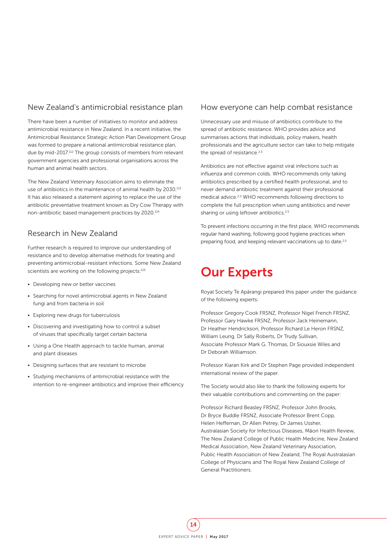### New Zealand's antimicrobial resistance plan

There have been a number of initiatives to monitor and address antimicrobial resistance in New Zealand. In a recent initiative, the Antimicrobial Resistance Strategic Action Plan Development Group was formed to prepare a national antimicrobial resistance plan, due by mid-2017.112 The group consists of members from relevant government agencies and professional organisations across the human and animal health sectors.

The New Zealand Veterinary Association aims to eliminate the use of antibiotics in the maintenance of animal health by 2030.113 It has also released a statement aspiring to replace the use of the antibiotic preventative treatment known as Dry Cow Therapy with non-antibiotic based management practices by 2020.114

### Research in New Zealand

Further research is required to improve our understanding of resistance and to develop alternative methods for treating and preventing antimicrobial-resistant infections. Some New Zealand scientists are working on the following projects:<sup>115</sup>

- Developing new or better vaccines
- Searching for novel antimicrobial agents in New Zealand fungi and from bacteria in soil
- Exploring new drugs for tuberculosis
- Discovering and investigating how to control a subset of viruses that specifically target certain bacteria
- Using a One Health approach to tackle human, animal and plant diseases
- Designing surfaces that are resistant to microbe
- Studying mechanisms of antimicrobial resistance with the intention to re-engineer antibiotics and improve their efficiency

#### How everyone can help combat resistance

Unnecessary use and misuse of antibiotics contribute to the spread of antibiotic resistance. WHO provides advice and summarises actions that individuals, policy makers, health professionals and the agriculture sector can take to help mitigate the spread of resistance.<sup>2,5</sup>

Antibiotics are not effective against viral infections such as influenza and common colds. WHO recommends only taking antibiotics prescribed by a certified health professional, and to never demand antibiotic treatment against their professional medical advice.2,5 WHO recommends following directions to complete the full prescription when using antibiotics and never sharing or using leftover antibiotics.<sup>2,5</sup>

To prevent infections occurring in the first place, WHO recommends regular hand washing, following good hygiene practices when preparing food, and keeping relevant vaccinations up to date.<sup>2,5</sup>

# Our Experts

Royal Society Te Apārangi prepared this paper under the guidance of the following experts:

Professor Gregory Cook FRSNZ, Professor Nigel French FRSNZ, Professor Gary Hawke FRSNZ, Professor Jack Heinemann, Dr Heather Hendrickson, Professor Richard Le Heron FRSNZ, William Leung, Dr Sally Roberts, Dr Trudy Sullivan, Associate Professor Mark G. Thomas, Dr Siouxsie Wiles and Dr Deborah Williamson.

Professor Kiaran Kirk and Dr Stephen Page provided independent international review of the paper.

The Society would also like to thank the following experts for their valuable contributions and commenting on the paper:

Professor Richard Beasley FRSNZ, Professor John Brooks, Dr Bryce Buddle FRSNZ, Associate Professor Brent Copp, Helen Heffernan, Dr Allen Petrey, Dr James Ussher, Australasian Society for Infectious Diseases, Māori Health Review, The New Zealand College of Public Health Medicine, New Zealand Medical Association, New Zealand Veterinary Association, Public Health Association of New Zealand, The Royal Australasian College of Physicians and The Royal New Zealand College of General Practitioners.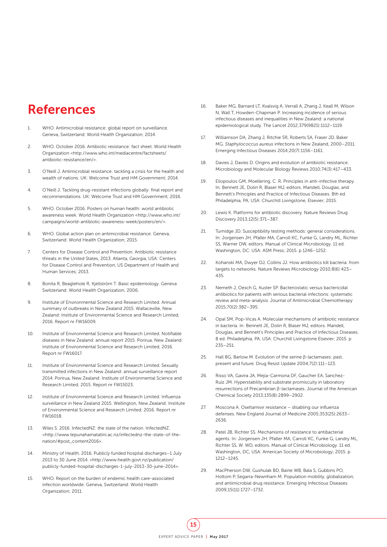# References

- WHO. Antimicrobial resistance: global report on surveillance. Geneva, Switzerland: World Health Organization; 2014.
- 2. WHO. October 2016. Antibiotic resistance: fact sheet. World Health Organization <http://www.who.int/mediacentre/factsheets/ antibiotic-resistance/en/>.
- 3. O'Neill J. Antimicrobial resistance: tackling a crisis for the health and wealth of nations. UK: Welcome Trust and HM Government; 2014.
- 4. O'Neill J. Tackling drug-resistant infections globally: final report and recommendations. UK: Welcome Trust and HM Government; 2016.
- 5. WHO. October 2016. Posters on human health: world antibiotic awareness week. World Health Organization <http://www.who.int/ campaigns/world-antibiotic-awareness-week/posters/en/>.
- 6. WHO. Global action plan on antimicrobial resistance. Geneva, Switzerland: World Health Organization; 2015.
- 7. Centers for Disease Control and Prevention. Antibiotic resistance threats in the United States, 2013. Atlanta, Georgia, USA: Centers for Disease Control and Prevention, US Department of Health and Human Services; 2013.
- 8. Bonita R, Beaglehole R, Kjellström T. Basic epidemiology. Geneva Switzerland: World Health Organization; 2006.
- 9. Institute of Environmental Science and Research Limited. Annual summary of outbreaks in New Zealand 2015. Wallaceville, New Zealand: Institute of Environmental Science and Research Limited; 2016. Report nr FW16009.
- 10. Institute of Environmental Science and Research Limited. Notifiable diseases in New Zealand: annual report 2015. Porirua, New Zealand: Institute of Environmental Science and Research Limited; 2016. Report nr FW16017.
- 11. Institute of Environmental Science and Research Limited. Sexually transmitted infections in New Zealand: annual surveillance report 2014. Porirua, New Zealand: Institute of Environmental Science and Research Limited; 2015. Report nr FW15023.
- 12. Institute of Environmental Science and Research Limited. Influenza surveillance in New Zealand 2015. Wellington, New Zealand: Institute of Environmental Science and Research Limited; 2016. Report nr FW16018.
- 13. Wiles S. 2016. InfectedNZ: the state of the nation. InfectedNZ. <http://www.tepunahamatatini.ac.nz/infectednz-the-state-of-thenation/#post\_content2016>.
- 14. Ministry of Health. 2016. Publicly funded hospital discharges–1 July 2013 to 30 June 2014. <http://www.health.govt.nz/publication/ publicly-funded-hospital-discharges-1-july-2013-30-june-2014>.
- 15. WHO. Report on the burden of endemic health care-associated infection worldwide. Geneva, Switzerland: World Health Organization; 2011.
- 16. Baker MG, Barnard LT, Kvalsvig A, Verrall A, Zhang J, Keall M, Wilson N, Wall T, Howden-Chapman P. Increasing incidence of serious infectious diseases and inequalities in New Zealand: a national epidemiological study. The Lancet 2012;379(9821):1112–1119.
- 17. Williamson DA, Zhang J, Ritchie SR, Roberts SA, Fraser JD, Baker MG. *Staphylococcus aureus* infections in New Zealand, 2000–2011. Emerging Infectious Diseases 2014;20(7):1156–1161.
- 18. Davies J, Davies D. Origins and evolution of antibiotic resistance. Microbiology and Molecular Biology Reviews 2010;74(3):417–433.
- 19. Eliopoulos GM, Moellering, C. R. Principles in anti-infective therapy. In: Bennett JE, Dolin R, Blaser MJ, editors. Mandell, Douglas, and Bennett's Principles and Practice of Infectious Diseases. 8th ed. Philadelphia, PA, USA: Churchill Livingstone, Elsevier; 2015.
- 20. Lewis K. Platforms for antibiotic discovery. Nature Reviews Drug Discovery 2013;12(5):371–387.
- 21. Turnidge JD. Susceptibility testing methods: general considerations. In: Jorgensen JH, Pfaller MA, Carroll KC, Funke G, Landry ML, Richter SS, Warner DW, editors. Manual of Clinical Microbiology. 11 ed. Washington, DC. USA: ASM Press; 2015. p 1246–1252.
- 22. Kohanski MA, Dwyer DJ, Collins JJ. How antibiotics kill bacteria: from targets to networks. Nature Reviews Microbiology 2010;8(6):423– 435.
- 23. Nemeth J, Oesch G, Kuster SP. Bacteriostatic versus bactericidal antibiotics for patients with serious bacterial infections: systematic review and meta-analysis. Journal of Antimicrobial Chemotherapy 2015;70(2):382–395.
- 24. Opal SM, Pop-Vicas A. Molecular mechanisms of antibiotic resistance in bacteria. In: Bennett JE, Dolin R, Blaser MJ, editors. Mandell, Douglas, and Bennett's Principles and Practice of Infectious Diseases. 8 ed. Philadelphia, PA, USA: Churchill Livingstone Elsevier; 2015. p 235–251.
- 25. Hall BG, Barlow M. Evolution of the serine β-lactamases: past, present and future. Drug Resist Update 2004;7(2):111–123.
- 26. Risso VA, Gavira JA, Mejia-Carmona DF, Gaucher EA, Sanchez-Ruiz JM. Hyperstability and substrate promiscuity in laboratory resurrections of Precambrian β-lactamases. Journal of the American Chemical Society 2013;135(8):2899–2902.
- 27. Moscona A. Oseltamivir resistance disabling our influenza defenses. New England Journal of Medicine 2005;353(25):2633– 2636.
- 28. Patel JB, Richter SS. Mechanisms of resistance to antibacterial agents. In: Jorgensen JH, Pfaller MA, Carroll KC, Funke G, Landry ML, Richter SS, W. WD, editors. Manual of Clinical Microbiology. 11 ed. Washington, DC, USA: American Society of Microbiology; 2015. p 1212–1245.
- 29. MacPherson DW, Gushulak BD, Baine WB, Bala S, Gubbins PO, Holtom P, Segarra-Newnham M. Population mobility, globalization, and antimicrobial drug resistance. Emerging Infectious Diseases 2009;15(11):1727–1732.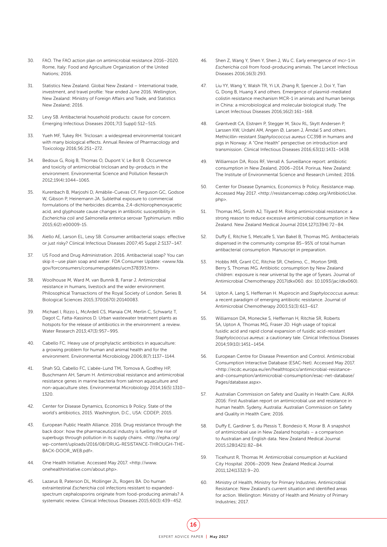- 30. FAO. The FAO action plan on antimicrobial resistance 2016–2020. Rome, Italy: Food and Agriculture Organization of the United Nations; 2016.
- 31. Statistics New Zealand. Global New Zealand International trade, investment, and travel profile: Year ended June 2016. Wellington, New Zealand: Ministry of Foreign Affairs and Trade, and Statistics New Zealand; 2016.
- 32. Levy SB. Antibacterial household products: cause for concern. Emerging Infectious Diseases 2001;7(3 Suppl):512–515.
- 33. Yueh MF, Tukey RH. Triclosan: a widespread environmental toxicant with many biological effects. Annual Review of Pharmacology and Toxicology 2016;56:251–272.
- 34. Bedoux G, Roig B, Thomas O, Dupont V, Le Bot B. Occurrence and toxicity of antimicrobial triclosan and by-products in the environment. Environmental Science and Pollution Research 2012;19(4):1044–1065.
- 35. Kurenbach B, Marjoshi D, Amábile-Cuevas CF, Ferguson GC, Godsoe W, Gibson P, Heinemann JA. Sublethal exposure to commercial formulations of the herbicides dicamba, 2,4-dichlorophenoxyacetic acid, and glyphosate cause changes in antibiotic susceptibility in *Escherichia coli* and *Salmonella enterica* serovar Typhimurium. mBio 2015;6(2):e00009-15.
- 36. Aiello AE, Larson EL, Levy SB. Consumer antibacterial soaps: effective or just risky? Clinical Infectious Diseases 2007;45 Suppl 2:S137–147.
- 37. US Food and Drug Administration. 2016. Antibacterial soap? You can skip it—use plain soap and water. FDA Consumer Update: <www.fda. gov/forconsumers/consumerupdates/ucm378393.htm>.
- 38. Woolhouse M, Ward M, van Bunnik B, Farrar J. Antimicrobial resistance in humans, livestock and the wider environment. Philosophical Transactions of the Royal Society of London. Series B. Biological Sciences 2015;370(1670):20140083.
- 39. Michael I, Rizzo L, McArdell CS, Manaia CM, Merlin C, Schwartz T, Dagot C, Fatta-Kassinos D. Urban wastewater treatment plants as hotspots for the release of antibiotics in the environment: a review. Water Research 2013;47(3):957–995.
- 40. Cabello FC. Heavy use of prophylactic antibiotics in aquaculture: a growing problem for human and animal health and for the environment. Environmental Microbiology 2006;8(7):1137–1144.
- 41. Shah SQ, Cabello FC, L'abée-Lund TM, Tomova A, Godfrey HP, Buschmann AH, Sørum H. Antimicrobial resistance and antimicrobial resistance genes in marine bacteria from salmon aquaculture and non-aquaculture sites. Environmental Microbiology 2014;16(5):1310– 1320.
- 42. Center for Disease Dynamics, Economics & Policy. State of the world's antibiotics, 2015. Washington, D.C., USA: CDDEP; 2015.
- 43. European Public Health Alliance. 2016. Drug resistance through the back door: how the pharmaceutical industry is fuelling the rise of superbugs through pollution in its supply chains. <http://epha.org/ wp-content/uploads/2016/08/DRUG-RESISTANCE-THROUGH-THE-BACK-DOOR\_WEB.pdf>.
- 44. One Health Initiative. Accessed May 2017. <http://www. onehealthinitiative.com/about.php>.
- 45. Lazarus B, Paterson DL, Mollinger JL, Rogers BA. Do human extraintestinal *Escherichia coli* infections resistant to expandedspectrum cephalosporins originate from food-producing animals? A systematic review. Clinical Infectious Diseases 2015;60(3):439–452.
- 46. Shen Z, Wang Y, Shen Y, Shen J, Wu C. Early emergence of mcr-1 in *Escherichia coli* from food-producing animals. The Lancet Infectious Diseases 2016;16(3):293.
- 47. Liu YY, Wang Y, Walsh TR, Yi LX, Zhang R, Spencer J, Doi Y, Tian G, Dong B, Huang X and others. Emergence of plasmid-mediated colistin resistance mechanism MCR-1 in animals and human beings in China: a microbiological and molecular biological study. The Lancet Infectious Diseases 2016;16(2):161–168.
- 48. Grøntvedt CA, Elstrøm P, Stegger M, Skov RL, Skytt Andersen P, Larssen KW, Urdahl AM, Angen Ø, Larsen J, Åmdal S and others. Methicillin-resistant *Staphylococcus aureus* CC398 in humans and pigs in Norway: A "One Health" perspective on introduction and transmission. Clinical Infectious Diseases 2016;63(11):1431–1438.
- 49. Williamson DA, Roos RF, Verrall A. Surveillance report: antibiotic consumption in New Zealand, 2006–2014. Porirua, New Zealand: The Institute of Environmental Science and Research Limited; 2016.
- 50. Center for Disease Dynamics, Economics & Policy. Resistance map. Accessed May 2017. <http://resistancemap.cddep.org/AntibioticUse. php>.
- 51. Thomas MG, Smith AJ, Tilyard M. Rising antimicrobial resistance: a strong reason to reduce excessive antimicrobial consumption in New Zealand. New Zealand Medical Journal 2014;127(1394):72–84.
- 52. Duffy E, Ritchie S, Metcalfe S, Van Bakel B, Thomas MG. Antibacterials dispensed in the community comprise 85–95% of total human antibacterial consumption. Manuscript in preparation.
- 53. Hobbs MR, Grant CC, Ritchie SR, Chelimo, C., Morton SMB, Berry S, Thomas MG. Antibiotic consumption by New Zealand children: exposure is near universal by the age of 5 years. Journal of Antimicrobial Chemotherapy 2017(dkx060. doi: 10.1093/jac/dkx060).
- 54. Upton A, Lang S, Heffernan H. Mupirocin and *Staphylococcus aureus*: a recent paradigm of emerging antibiotic resistance. Journal of Antimicrobial Chemotherapy 2003;51(3):613–617.
- 55. Williamson DA, Monecke S, Heffernan H, Ritchie SR, Roberts SA, Upton A, Thomas MG, Fraser JD. High usage of topical fusidic acid and rapid clonal expansion of fusidic acid-resistant *Staphylococcus aureus*: a cautionary tale. Clinical Infectious Diseases 2014;59(10):1451–1454.
- 56. European Centre for Disease Prevention and Control. Antimicrobial Consumption Interactive Database (ESAC-Net). Accessed May 2017. <http://ecdc.europa.eu/en/healthtopics/antimicrobial-resistanceand-consumption/antimicrobial-consumption/esac-net-database/ Pages/database.aspx>.
- 57. Australian Commission on Safety and Quality in Health Care. AURA 2016: First Australian report on antimicrobial use and resistance in human health. Sydeny, Australia: Australian Commission on Safety and Quality in Health Care; 2016.
- 58. Duffy E, Gardiner S, du Plessis T, Bondesio K, Morar B. A snapshot of antimicrobial use in New Zealand hospitals – a comparison to Australian and English data. New Zealand Medical Journal 2015;128(1421):82–84.
- 59. Ticehurst R, Thomas M. Antimicrobial consumption at Auckland City Hospital: 2006–2009. New Zealand Medical Journal 2011;124(1332):9–20.
- 60. Ministry of Health, Ministry for Primary Industries. Antimicrobial Resistance: New Zealand's current situation and identified areas for action. Wellington: Ministry of Health and Ministry of Primary Industries; 2017.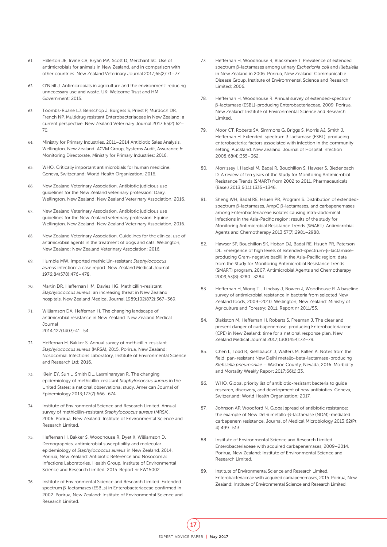- 61. Hillerton JE, Irvine CR, Bryan MA, Scott D, Merchant SC. Use of antimicrobials for animals in New Zealand, and in comparison with other countries. New Zealand Veterinary Journal 2017;65(2):71–77.
- 62. O'Neill J. Antimicrobials in agriculture and the environment: reducing unnecessary use and waste. UK: Welcome Trust and HM Government; 2015.
- 63. Toombs-Ruane LJ, Benschop J, Burgess S, Priest P, Murdoch DR, French NP. Multidrug resistant Enterobacteriaceae in New Zealand: a current perspective. New Zealand Veterinary Journal 2017;65(2):62– 70.
- 64. Ministry for Primary Industries. 2011–2014 Antibiotic Sales Analysis. Wellington, New Zealand: ACVM Group, Systems Audit, Assurance & Monitoring Directorate, Ministry for Primary Industries; 2016.
- 65. WHO. Critically important antimicrobials for human medicine. Geneva, Switzerland: World Health Organization; 2016.
- 66. New Zealand Veterinary Association. Antibiotic judicious use guidelines for the New Zealand veterinary profession: Dairy. Wellington, New Zealand: New Zealand Veterinary Association; 2016.
- 67. New Zealand Veterinary Association. Antibiotic judicious use guidelines for the New Zealand veterinary profession: Equine. Wellington, New Zealand: New Zealand Veterinary Association; 2016.
- 68. New Zealand Veterinary Association. Guidelines for the clinical use of antimicrobial agents in the treatment of dogs and cats. Wellington, New Zealand: New Zealand Veterinary Association; 2016.
- 69. Humble MW. Imported methicillin-resistant *Staphylococcus aureus* infection: a case report. New Zealand Medical Journal 1976;84(578):476–478.
- 70. Martin DR, Heffernan HM, Davies HG. Methicillin-resistant *Staphylococcus aureus*: an increasing threat in New Zealand hospitals. New Zealand Medical Journal 1989;102(872):367–369.
- 71. Williamson DA, Heffernan H. The changing landscape of antimicrobial resistance in New Zealand. New Zealand Medical Journal 2014;127(1403):41–54.
- 72. Heffernan H, Bakker S. Annual survey of methicillin-resistant *Staphylococcus aureus* (MRSA), 2015. Porirua, New Zealand: Nosocomial Infections Laboratory, Institute of Environmental Science and Research Ltd; 2016.
- 73. Klein EY, Sun L, Smith DL, Laxminarayan R. The changing epidemiology of methicillin-resistant *Staphylococcus aureus* in the United States: a national observational study. American Journal of Epidemiology 2013;177(7):666–674.
- 74. Institute of Environmental Science and Research Limited. Annual survey of methicillin-resistant *Staphylococcus aureus* (MRSA), 2006. Porirua, New Zealand: Institute of Environmental Science and Research Limited.
- 75. Heffernan H, Bakker S, Woodhouse R, Dyet K, Williamson D. Demographics, antimicrobial susceptibility and molecular epidemiology of *Staphylococcus aureus* in New Zealand, 2014. Porirua, New Zealand: Antibiotic Reference and Nosocomial Infections Laboratories, Health Group, Institute of Environmental Science and Research Limited; 2015. Report nr FW15002.
- 76. Institute of Environmental Science and Research Limited. Extendedspectrum β-lactamases (ESBLs) in Enterobacteriaceae confirmed in 2002. Porirua, New Zealand: Institute of Environmental Science and Research Limited.
- 77. Heffernan H, Woodhouse R, Blackmore T. Prevalence of extended spectrum β-lactamases among urinary *Escherichia coli* and *Klebsiella* in New Zealand in 2006. Porirua, New Zealand: Communicable Disease Group, Institute of Environmental Science and Research Limited; 2006.
- 78. Heffernan H, Woodhouse R. Annual survey of extended-spectrum β-lactamase (ESBL)-producing Enterobacteriaceae, 2009. Porirua, New Zealand: Institute of Environmental Science and Research Limited.
- 79. Moor CT, Roberts SA, Simmons G, Briggs S, Morris AJ, Smith J, Heffernan H. Extended-spectrum β-lactamase (ESBL)-producing enterobacteria: factors associated with infection in the community setting, Auckland, New Zealand. Journal of Hospital Infection 2008;68(4):355–362.
- 80. Morrissey I, Hackel M, Badal R, Bouchillon S, Hawser S, Biedenbach D. A review of ten years of the Study for Monitoring Antimicrobial Resistance Trends (SMART) from 2002 to 2011. Pharmaceuticals (Basel) 2013;6(11):1335–1346.
- 81. Sheng WH, Badal RE, Hsueh PR, Program S. Distribution of extendedspectrum β-lactamases, AmpC β-lactamases, and carbapenemases among Enterobacteriaceae isolates causing intra-abdominal infections in the Asia-Pacific region: results of the study for Monitoring Antimicrobial Resistance Trends (SMART). Antimicrobial Agents and Chemotherapy 2013;57(7):2981–2988.
- 82. Hawser SP, Bouchillon SK, Hoban DJ, Badal RE, Hsueh PR, Paterson DL. Emergence of high levels of extended-spectrum-β-lactamaseproducing Gram-negative bacilli in the Asia-Pacific region: data from the Study for Monitoring Antimicrobial Resistance Trends (SMART) program, 2007. Antimicrobial Agents and Chemotherapy 2009;53(8):3280–3284.
- 83. Heffernan H, Wong TL, Lindsay J, Bowen J, Woodhouse R. A baseline survey of antimicrobial resistance in bacteria from selected New Zealand foods, 2009–2010. Wellington, New Zealand: Ministry of Agriculture and Forestry; 2011. Report nr 2011/53.
- 84. Blakiston M, Heffernan H, Roberts S, Freeman J. The clear and present danger of carbapenemase-producing Enterobacteriaceae (CPE) in New Zealand: time for a national response plan. New Zealand Medical Journal 2017;130(1454):72–79.
- 85. Chen L, Todd R, Kiehlbauch J, Walters M, Kallen A. Notes from the field: pan-resistant New Delhi metallo-beta-lactamase-producing *Klebsiella pneumoniae* – Washoe County, Nevada, 2016. Morbidity and Mortality Weekly Report 2017;66(1):33.
- 86. WHO. Global priority list of antibiotic-resistant bacteria to guide research, discovery, and development of new antibiotics. Geneva, Switzerland: World Health Organization; 2017.
- 87. Johnson AP, Woodford N. Global spread of antibiotic resistance: the example of New Delhi metallo-β-lactamase (NDM)-mediated carbapenem resistance. Journal of Medical Microbiology 2013;62(Pt 4):499–513.
- 88. Institute of Environmental Science and Research Limited. Enterobacteriaceae with acquired carbapenemases, 2009–2014. Porirua, New Zealand: Institute of Environmental Science and Research Limited.
- 89. Institute of Environmental Science and Research Limited. Enterobacteriaceae with acquired carbapenemases, 2015. Porirua, New Zealand: Institute of Environmental Science and Research Limited.